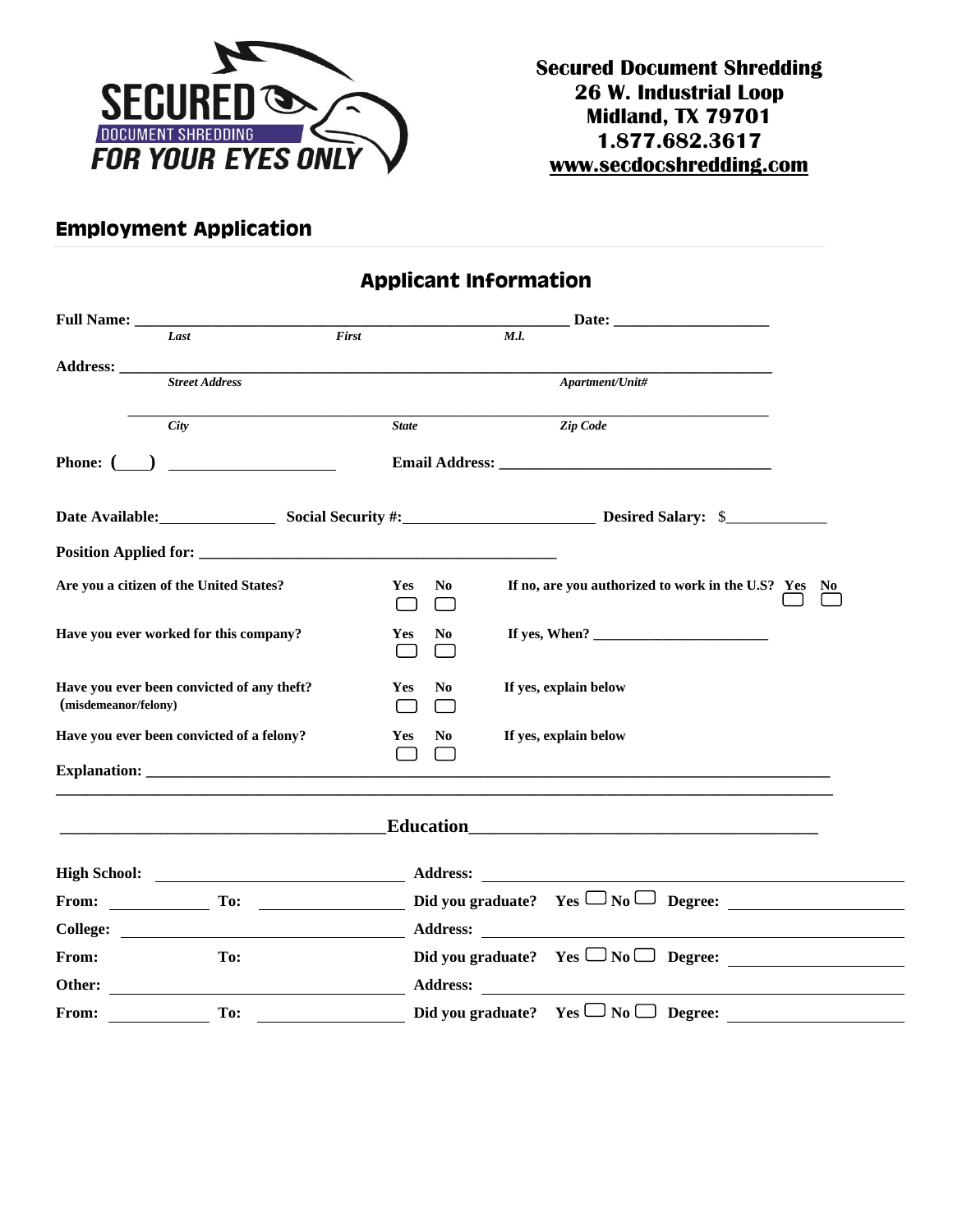

## **Employment Application**

**Applicant Information**

|                      | Last                                                              | $\overline{First}$           | M.l.                                                                                                                                                                                                                                                                                                               |  |
|----------------------|-------------------------------------------------------------------|------------------------------|--------------------------------------------------------------------------------------------------------------------------------------------------------------------------------------------------------------------------------------------------------------------------------------------------------------------|--|
|                      |                                                                   |                              |                                                                                                                                                                                                                                                                                                                    |  |
|                      | <b>Street Address</b>                                             |                              | Apartment/Unit#                                                                                                                                                                                                                                                                                                    |  |
|                      | <b>City</b>                                                       | <b>State</b>                 | Zip Code                                                                                                                                                                                                                                                                                                           |  |
|                      | Phone: $\qquad \qquad$                                            |                              |                                                                                                                                                                                                                                                                                                                    |  |
|                      |                                                                   |                              | Date Available: Social Security #: Desired Salary: \$                                                                                                                                                                                                                                                              |  |
|                      |                                                                   |                              |                                                                                                                                                                                                                                                                                                                    |  |
|                      | Are you a citizen of the United States?                           | N <sub>0</sub><br><b>Yes</b> | If no, are you authorized to work in the U.S? Yes No                                                                                                                                                                                                                                                               |  |
|                      | Have you ever worked for this company?                            | <b>Yes</b><br>N <sub>0</sub> | If yes, When? $\frac{1}{2}$ $\frac{1}{2}$ $\frac{1}{2}$ $\frac{1}{2}$ $\frac{1}{2}$ $\frac{1}{2}$ $\frac{1}{2}$ $\frac{1}{2}$ $\frac{1}{2}$ $\frac{1}{2}$ $\frac{1}{2}$ $\frac{1}{2}$ $\frac{1}{2}$ $\frac{1}{2}$ $\frac{1}{2}$ $\frac{1}{2}$ $\frac{1}{2}$ $\frac{1}{2}$ $\frac{1}{2}$ $\frac{1}{2}$ $\frac{1}{2$ |  |
| (misdemeanor/felony) | Have you ever been convicted of any theft?                        | Yes<br>No.                   | If yes, explain below                                                                                                                                                                                                                                                                                              |  |
|                      | Have you ever been convicted of a felony?                         | Yes<br>N <sub>0</sub>        | If yes, explain below                                                                                                                                                                                                                                                                                              |  |
|                      |                                                                   | $\Box$                       |                                                                                                                                                                                                                                                                                                                    |  |
|                      | <u> 1980 - Johann John Stone, mars eta biztanleria (h. 1980).</u> |                              | <b>Education</b> 2008 2010 2021 2022 2023 2024 2022 2022 2023 2024 2022 2023 2024 2022 2023 2024 2022 2023 2024 2025 20                                                                                                                                                                                            |  |
|                      |                                                                   |                              |                                                                                                                                                                                                                                                                                                                    |  |
|                      | From: To:                                                         |                              | Did you graduate? Yes $\Box$ No $\Box$ Degree:                                                                                                                                                                                                                                                                     |  |
|                      |                                                                   |                              |                                                                                                                                                                                                                                                                                                                    |  |
| From:                | To:                                                               |                              | Did you graduate? $Yes \Box No \Box$ Degree:                                                                                                                                                                                                                                                                       |  |
|                      |                                                                   |                              |                                                                                                                                                                                                                                                                                                                    |  |
| From:                | To:                                                               |                              | Did you graduate? $\;$ Yes $\Box$ No $\Box$ Degree:                                                                                                                                                                                                                                                                |  |